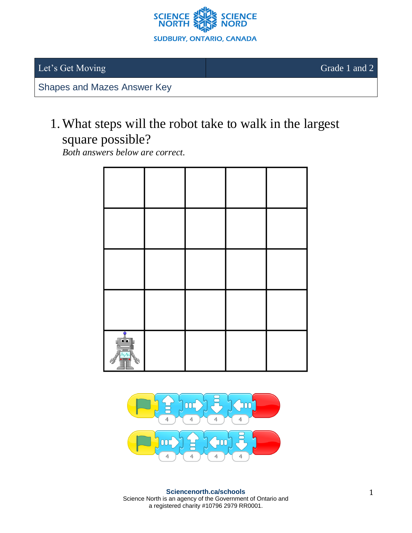

Let's Get Moving Grade 1 and 2

Shapes and Mazes Answer Key

## 1.What steps will the robot take to walk in the largest square possible?

*Both answers below are correct.*



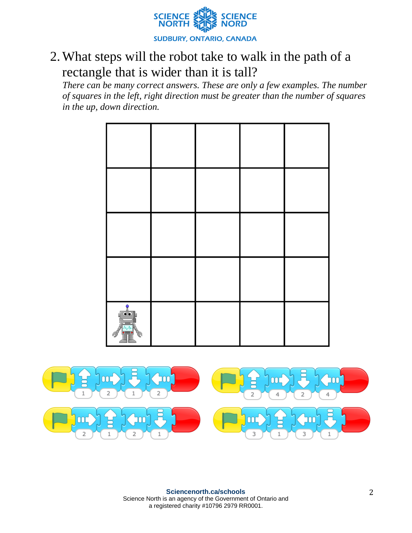

## 2.What steps will the robot take to walk in the path of a rectangle that is wider than it is tall?

*There can be many correct answers. These are only a few examples. The number of squares in the left, right direction must be greater than the number of squares in the up, down direction.*



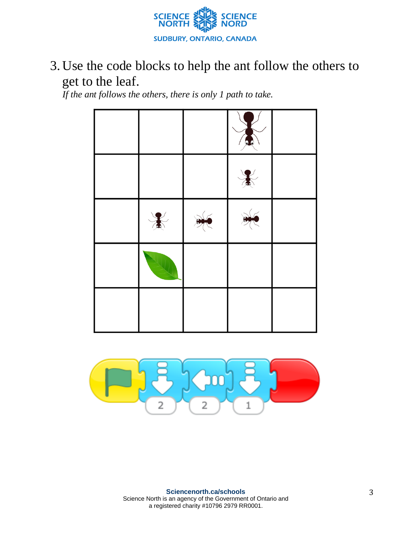

3. Use the code blocks to help the ant follow the others to get to the leaf.

*If the ant follows the others, there is only 1 path to take.*



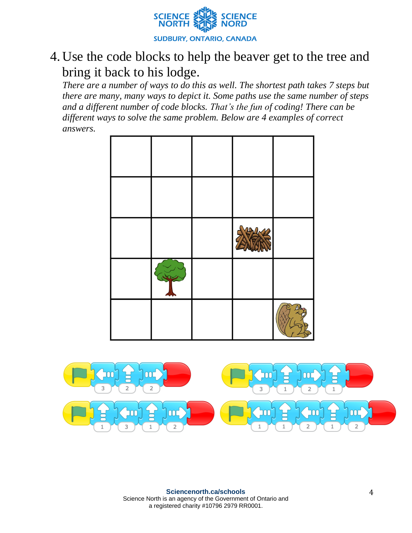

## 4. Use the code blocks to help the beaver get to the tree and bring it back to his lodge.

*There are a number of ways to do this as well. The shortest path takes 7 steps but there are many, many ways to depict it. Some paths use the same number of steps and a different number of code blocks. That's the fun of coding! There can be different ways to solve the same problem. Below are 4 examples of correct answers.*